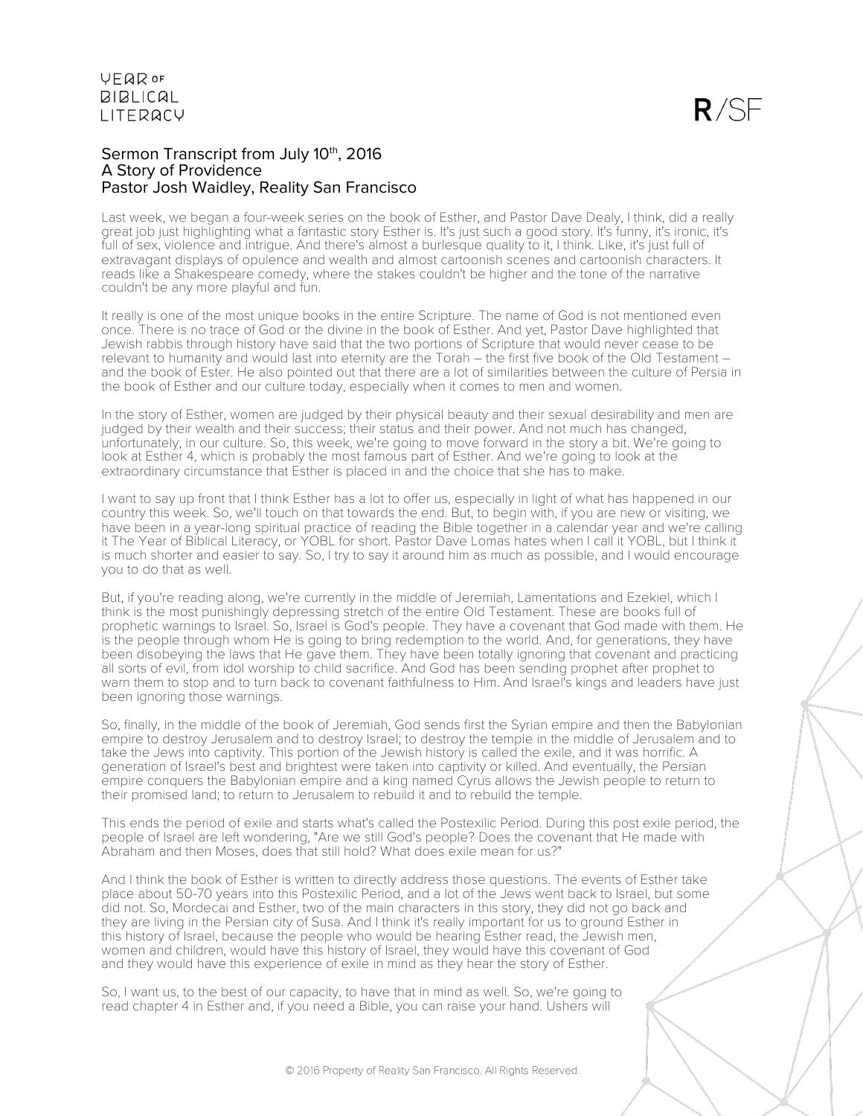#### Sermon Transcript from July 10th, 2016 A Story of Providence Pastor Josh Waidley, Reality San Francisco

Last week, we began a four-week series on the book of Esther, and Pastor Dave Dealy, I think, did a really great job just highlighting what a fantastic story Esther is. It's just such a good story. It's funny, it's ironic, it's full of sex, violence and intrigue. And there's almost a burlesque quality to it. I think. Like, it's just full of extravagant displays of opulence and wealth and almost cartoonish scenes and cartoonish characters. It reads like a Shakespeare comedy, where the stakes couldn't be higher and the tone of the narrative couldn't be any more playful and fun.

It really is one of the most unique books in the entire Scripture. The name of God is not mentioned even once. There is no trace of God or the divine in the book of Esther. And yet, Pastor Dave highlighted that Jewish rabbis through history have said that the two portions of Scripture that would never cease to be relevant to humanity and would last into eternity are the Torah – the first five book of the Old Testament – and the book of Ester. He also pointed out that there are a lot of similarities between the culture of Persia in the book of Esther and our culture today, especially when it comes to men and women.

In the story of Esther, women are judged by their physical beauty and their sexual desirability and men are judged by their wealth and their success; their status and their power. And not much has changed, unfortunately, in our culture. So, this week, we're going to move forward in the story a bit. We're going to look at Esther 4, which is probably the most famous part of Esther. And we're going to look at the extraordinary circumstance that Esther is placed in and the choice that she has to make.

I want to say up front that I think Esther has a lot to offer us, especially in light of what has happened in our country this week. So, we'll touch on that towards the end. But, to begin with, if you are new or visiting, we have been in a year-long spiritual practice of reading the Bible together in a calendar year and we're calling it The Year of Biblical Literacy, or YOBL for short. Pastor Dave Lomas hates when I call it YOBL, but I think it is much shorter and easier to say. So, I try to say it around him as much as possible, and I would encourage you to do that as well.

But, if you're reading along, we're currently in the middle of Jeremiah, Lamentations and Ezekiel, which I think is the most punishingly depressing stretch of the entire Old Testament. These are books full of prophetic warnings to Israel. So, Israel is God's people. They have a covenant that God made with them. He is the people through whom He is going to bring redemption to the world. And, for generations, they have been disobeying the laws that He gave them. They have been totally ignoring that covenant and practicing all sorts of evil, from idol worship to child sacrifice. And God has been sending prophet after prophet to warn them to stop and to turn back to covenant faithfulness to Him. And Israel's kings and leaders have just been ignoring those warnings.

So, finally, in the middle of the book of Jeremiah, God sends first the Syrian empire and then the Babylonian empire to destroy Jerusalem and to destroy Israel; to destroy the temple in the middle of Jerusalem and to take the Jews into captivity. This portion of the Jewish history is called the exile, and it was horrific. A generation of Israel's best and brightest were taken into captivity or killed. And eventually, the Persian empire conquers the Babylonian empire and a king named Cyrus allows the Jewish people to return to their promised land; to return to Jerusalem to rebuild it and to rebuild the temple.

This ends the period of exile and starts what's called the Postexilic Period. During this post exile period, the people of Israel are left wondering, "Are we still God's people? Does the covenant that He made with Abraham and then Moses, does that still hold? What does exile mean for us?"

And I think the book of Esther is written to directly address those questions. The events of Esther take place about 50-70 years into this Postexilic Period, and a lot of the Jews went back to Israel, but some did not. So, Mordecai and Esther, two of the main characters in this story, they did not go back and they are living in the Persian city of Susa. And I think it's really important for us to ground Esther in this history of Israel, because the people who would be hearing Esther read, the Jewish men, women and children, would have this history of Israel, they would have this covenant of God and they would have this experience of exile in mind as they hear the story of Esther.

So, I want us, to the best of our capacity, to have that in mind as well. So, we're going to read chapter 4 in Esther and, if you need a Bible, you can raise your hand. Ushers will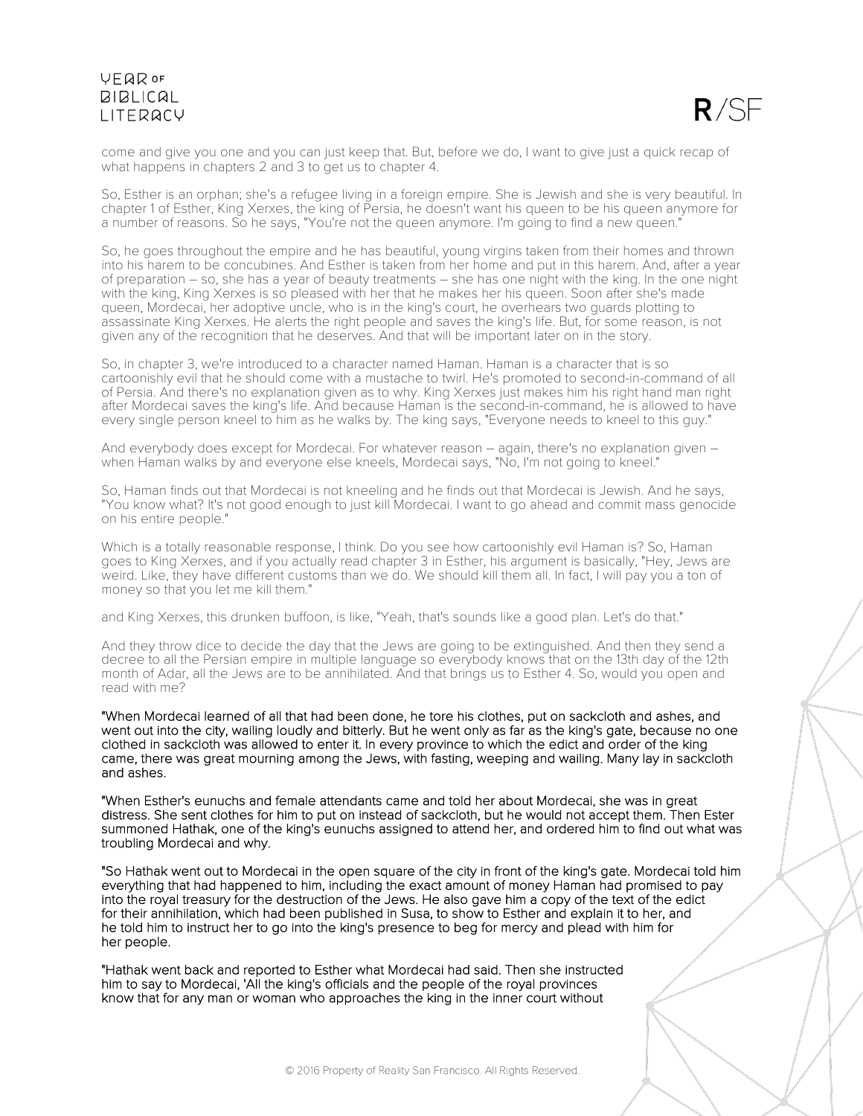$R/SF$ 

come and give you one and you can just keep that. But, before we do, I want to give just a quick recap of what happens in chapters 2 and 3 to get us to chapter 4.

So, Esther is an orphan; she's a refugee living in a foreign empire. She is Jewish and she is very beautiful. In chapter 1 of Esther, King Xerxes, the king of Persia, he doesn't want his queen to be his queen anymore for a number of reasons. So he says, "You're not the queen anymore. I'm going to find a new queen."

So, he goes throughout the empire and he has beautiful, young virgins taken from their homes and thrown into his harem to be concubines. And Esther is taken from her home and put in this harem. And, after a year of preparation – so, she has a year of beauty treatments – she has one night with the king. In the one night with the king, King Xerxes is so pleased with her that he makes her his queen. Soon after she's made queen, Mordecai, her adoptive uncle, who is in the king's court, he overhears two guards plotting to assassinate King Xerxes. He alerts the right people and saves the king's life. But, for some reason, is not given any of the recognition that he deserves. And that will be important later on in the story.

So, in chapter 3, we're introduced to a character named Haman. Haman is a character that is so cartoonishly evil that he should come with a mustache to twirl. He's promoted to second-in-command of all of Persia. And there's no explanation given as to why. King Xerxes just makes him his right hand man right after Mordecai saves the king's life. And because Haman is the second-in-command, he is allowed to have every single person kneel to him as he walks by. The king says, "Everyone needs to kneel to this guy."

And everybody does except for Mordecai. For whatever reason – again, there's no explanation given – when Haman walks by and everyone else kneels, Mordecai says, "No, I'm not going to kneel."

So, Haman finds out that Mordecai is not kneeling and he finds out that Mordecai is Jewish. And he says, "You know what? It's not good enough to just kill Mordecai. I want to go ahead and commit mass genocide on his entire people."

Which is a totally reasonable response, I think. Do you see how cartoonishly evil Haman is? So, Haman goes to King Xerxes, and if you actually read chapter 3 in Esther, his argument is basically, "Hey, Jews are weird. Like, they have different customs than we do. We should kill them all. In fact, I will pay you a ton of money so that you let me kill them."

and King Xerxes, this drunken buffoon, is like, "Yeah, that's sounds like a good plan. Let's do that."

And they throw dice to decide the day that the Jews are going to be extinguished. And then they send a decree to all the Persian empire in multiple language so everybody knows that on the 13th day of the 12th month of Adar, all the Jews are to be annihilated. And that brings us to Esther 4. So, would you open and read with me?

"When Mordecai learned of all that had been done, he tore his clothes, put on sackcloth and ashes, and went out into the city, wailing loudly and bitterly. But he went only as far as the king's gate, because no one clothed in sackcloth was allowed to enter it. In every province to which the edict and order of the king came, there was great mourning among the Jews, with fasting, weeping and wailing. Many lay in sackcloth and ashes.

"When Esther's eunuchs and female attendants came and told her about Mordecai, she was in great distress. She sent clothes for him to put on instead of sackcloth, but he would not accept them. Then Ester summoned Hathak, one of the king's eunuchs assigned to attend her, and ordered him to find out what was troubling Mordecai and why.

"So Hathak went out to Mordecai in the open square of the city in front of the king's gate. Mordecai told him everything that had happened to him, including the exact amount of money Haman had promised to pay into the royal treasury for the destruction of the Jews. He also gave him a copy of the text of the edict for their annihilation, which had been published in Susa, to show to Esther and explain it to her, and he told him to instruct her to go into the king's presence to beg for mercy and plead with him for her people.

"Hathak went back and reported to Esther what Mordecai had said. Then she instructed him to say to Mordecai, 'All the king's officials and the people of the royal provinces know that for any man or woman who approaches the king in the inner court without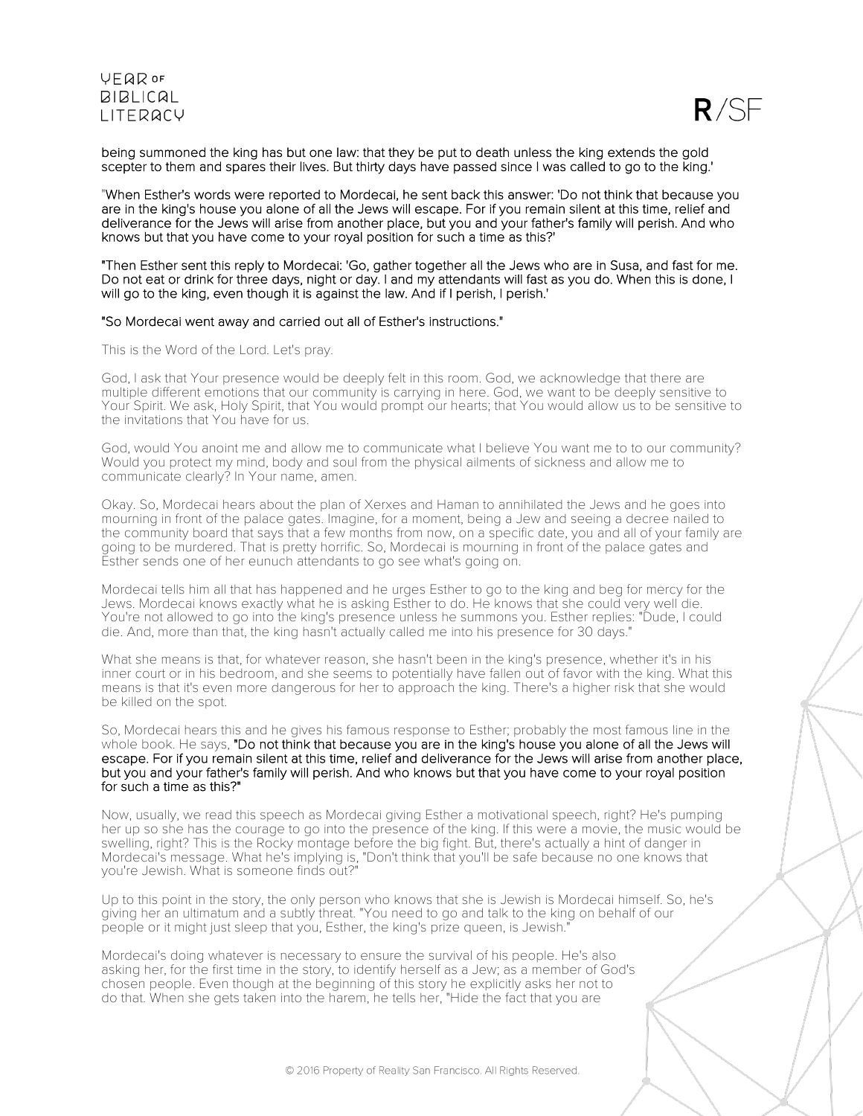



being summoned the king has but one law: that they be put to death unless the king extends the gold scepter to them and spares their lives. But thirty days have passed since I was called to go to the king.'

"When Esther's words were reported to Mordecai, he sent back this answer: 'Do not think that because you are in the king's house you alone of all the Jews will escape. For if you remain silent at this time, relief and deliverance for the Jews will arise from another place, but you and your father's family will perish. And who knows but that you have come to your royal position for such a time as this?'

"Then Esther sent this reply to Mordecai: 'Go, gather together all the Jews who are in Susa, and fast for me. Do not eat or drink for three days, night or day. I and my attendants will fast as you do. When this is done, I will go to the king, even though it is against the law. And if I perish, I perish.'

#### "So Mordecai went away and carried out all of Esther's instructions."

This is the Word of the Lord. Let's pray.

God, I ask that Your presence would be deeply felt in this room. God, we acknowledge that there are multiple different emotions that our community is carrying in here. God, we want to be deeply sensitive to Your Spirit. We ask, Holy Spirit, that You would prompt our hearts; that You would allow us to be sensitive to the invitations that You have for us.

God, would You anoint me and allow me to communicate what I believe You want me to to our community? Would you protect my mind, body and soul from the physical ailments of sickness and allow me to communicate clearly? In Your name, amen.

Okay. So, Mordecai hears about the plan of Xerxes and Haman to annihilated the Jews and he goes into mourning in front of the palace gates. Imagine, for a moment, being a Jew and seeing a decree nailed to the community board that says that a few months from now, on a specific date, you and all of your family are going to be murdered. That is pretty horrific. So, Mordecai is mourning in front of the palace gates and Esther sends one of her eunuch attendants to go see what's going on.

Mordecai tells him all that has happened and he urges Esther to go to the king and beg for mercy for the Jews. Mordecai knows exactly what he is asking Esther to do. He knows that she could very well die. You're not allowed to go into the king's presence unless he summons you. Esther replies: "Dude, I could die. And, more than that, the king hasn't actually called me into his presence for 30 days."

What she means is that, for whatever reason, she hasn't been in the king's presence, whether it's in his inner court or in his bedroom, and she seems to potentially have fallen out of favor with the king. What this means is that it's even more dangerous for her to approach the king. There's a higher risk that she would be killed on the spot.

So, Mordecai hears this and he gives his famous response to Esther; probably the most famous line in the whole book. He says, "Do not think that because you are in the king's house you alone of all the Jews will escape. For if you remain silent at this time, relief and deliverance for the Jews will arise from another place, but you and your father's family will perish. And who knows but that you have come to your royal position for such a time as this?"

Now, usually, we read this speech as Mordecai giving Esther a motivational speech, right? He's pumping her up so she has the courage to go into the presence of the king. If this were a movie, the music would be swelling, right? This is the Rocky montage before the big fight. But, there's actually a hint of danger in Mordecai's message. What he's implying is, "Don't think that you'll be safe because no one knows that you're Jewish. What is someone finds out?"

Up to this point in the story, the only person who knows that she is Jewish is Mordecai himself. So, he's giving her an ultimatum and a subtly threat. "You need to go and talk to the king on behalf of our people or it might just sleep that you, Esther, the king's prize queen, is Jewish."

Mordecai's doing whatever is necessary to ensure the survival of his people. He's also asking her, for the first time in the story, to identify herself as a Jew; as a member of God's chosen people. Even though at the beginning of this story he explicitly asks her not to do that. When she gets taken into the harem, he tells her, "Hide the fact that you are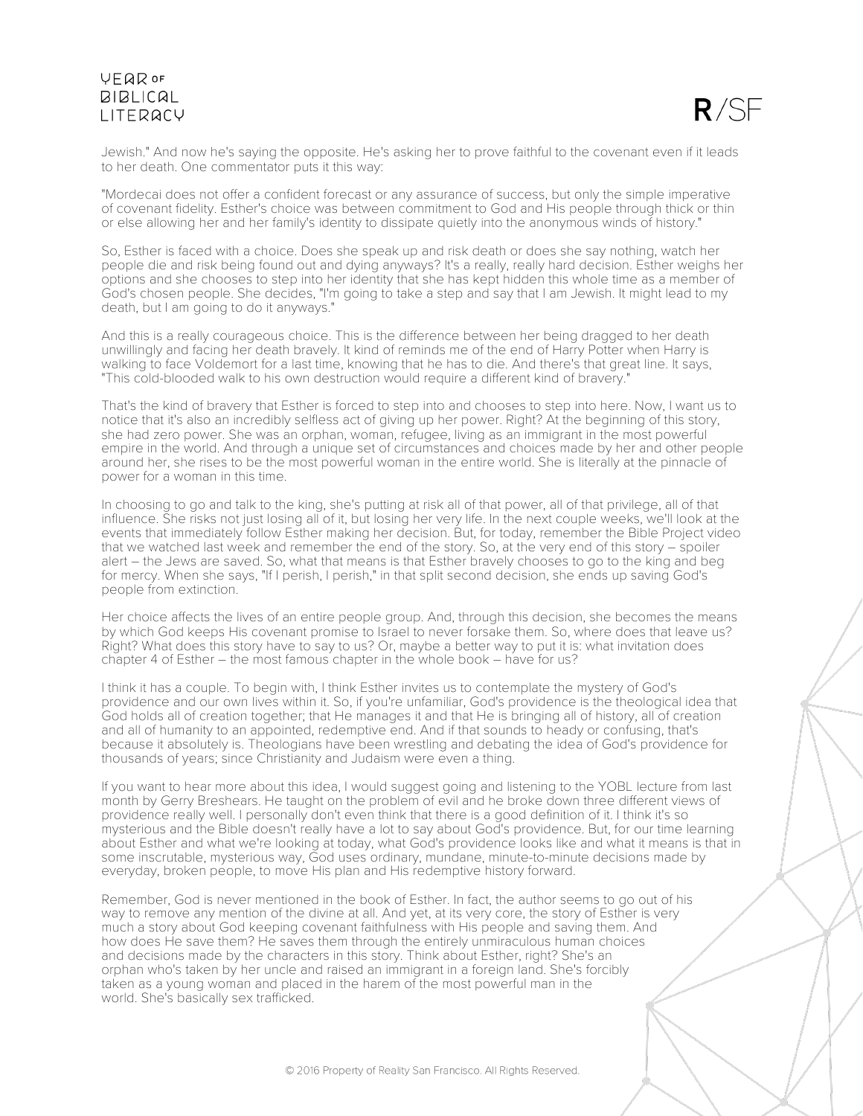

Jewish." And now he's saying the opposite. He's asking her to prove faithful to the covenant even if it leads to her death. One commentator puts it this way:

"Mordecai does not offer a confident forecast or any assurance of success, but only the simple imperative of covenant fidelity. Esther's choice was between commitment to God and His people through thick or thin or else allowing her and her family's identity to dissipate quietly into the anonymous winds of history."

So, Esther is faced with a choice. Does she speak up and risk death or does she say nothing, watch her people die and risk being found out and dying anyways? It's a really, really hard decision. Esther weighs her options and she chooses to step into her identity that she has kept hidden this whole time as a member of God's chosen people. She decides, "I'm going to take a step and say that I am Jewish. It might lead to my death, but I am going to do it anyways."

And this is a really courageous choice. This is the difference between her being dragged to her death unwillingly and facing her death bravely. It kind of reminds me of the end of Harry Potter when Harry is walking to face Voldemort for a last time, knowing that he has to die. And there's that great line. It says, "This cold-blooded walk to his own destruction would require a different kind of bravery."

That's the kind of bravery that Esther is forced to step into and chooses to step into here. Now, I want us to notice that it's also an incredibly selfless act of giving up her power. Right? At the beginning of this story, she had zero power. She was an orphan, woman, refugee, living as an immigrant in the most powerful empire in the world. And through a unique set of circumstances and choices made by her and other people around her, she rises to be the most powerful woman in the entire world. She is literally at the pinnacle of power for a woman in this time.

In choosing to go and talk to the king, she's putting at risk all of that power, all of that privilege, all of that influence. She risks not just losing all of it, but losing her very life. In the next couple weeks, we'll look at the events that immediately follow Esther making her decision. But, for today, remember the Bible Project video that we watched last week and remember the end of the story. So, at the very end of this story – spoiler alert – the Jews are saved. So, what that means is that Esther bravely chooses to go to the king and beg for mercy. When she says, "If I perish, I perish," in that split second decision, she ends up saving God's people from extinction.

Her choice affects the lives of an entire people group. And, through this decision, she becomes the means by which God keeps His covenant promise to Israel to never forsake them. So, where does that leave us? Right? What does this story have to say to us? Or, maybe a better way to put it is: what invitation does chapter 4 of Esther – the most famous chapter in the whole book – have for us?

I think it has a couple. To begin with, I think Esther invites us to contemplate the mystery of God's providence and our own lives within it. So, if you're unfamiliar, God's providence is the theological idea that God holds all of creation together; that He manages it and that He is bringing all of history, all of creation and all of humanity to an appointed, redemptive end. And if that sounds to heady or confusing, that's because it absolutely is. Theologians have been wrestling and debating the idea of God's providence for thousands of years; since Christianity and Judaism were even a thing.

If you want to hear more about this idea, I would suggest going and listening to the YOBL lecture from last month by Gerry Breshears. He taught on the problem of evil and he broke down three different views of providence really well. I personally don't even think that there is a good definition of it. I think it's so mysterious and the Bible doesn't really have a lot to say about God's providence. But, for our time learning about Esther and what we're looking at today, what God's providence looks like and what it means is that in some inscrutable, mysterious way, God uses ordinary, mundane, minute-to-minute decisions made by everyday, broken people, to move His plan and His redemptive history forward.

Remember, God is never mentioned in the book of Esther. In fact, the author seems to go out of his way to remove any mention of the divine at all. And yet, at its very core, the story of Esther is very much a story about God keeping covenant faithfulness with His people and saving them. And how does He save them? He saves them through the entirely unmiraculous human choices and decisions made by the characters in this story. Think about Esther, right? She's an orphan who's taken by her uncle and raised an immigrant in a foreign land. She's forcibly taken as a young woman and placed in the harem of the most powerful man in the world. She's basically sex trafficked.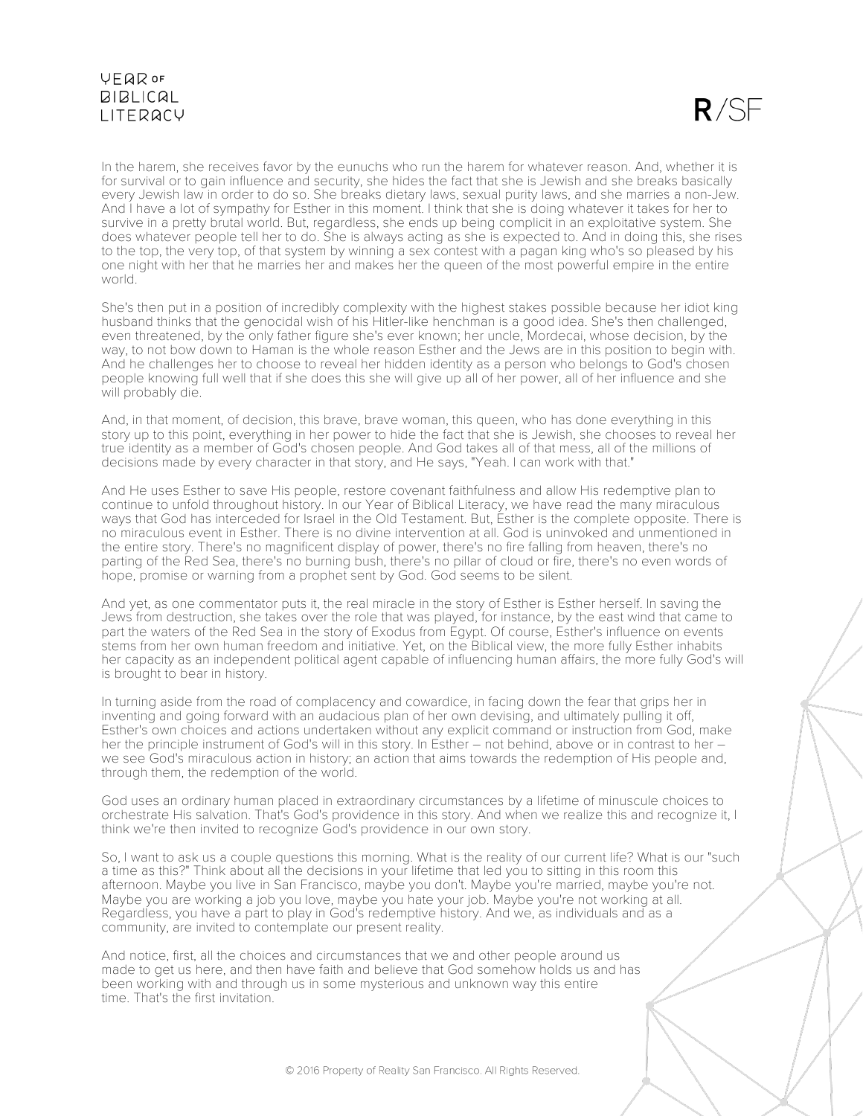$R/SF$ 

In the harem, she receives favor by the eunuchs who run the harem for whatever reason. And, whether it is for survival or to gain influence and security, she hides the fact that she is Jewish and she breaks basically every Jewish law in order to do so. She breaks dietary laws, sexual purity laws, and she marries a non-Jew. And I have a lot of sympathy for Esther in this moment. I think that she is doing whatever it takes for her to survive in a pretty brutal world. But, regardless, she ends up being complicit in an exploitative system. She does whatever people tell her to do. She is always acting as she is expected to. And in doing this, she rises to the top, the very top, of that system by winning a sex contest with a pagan king who's so pleased by his one night with her that he marries her and makes her the queen of the most powerful empire in the entire world.

She's then put in a position of incredibly complexity with the highest stakes possible because her idiot king husband thinks that the genocidal wish of his Hitler-like henchman is a good idea. She's then challenged, even threatened, by the only father figure she's ever known; her uncle, Mordecai, whose decision, by the way, to not bow down to Haman is the whole reason Esther and the Jews are in this position to begin with. And he challenges her to choose to reveal her hidden identity as a person who belongs to God's chosen people knowing full well that if she does this she will give up all of her power, all of her influence and she will probably die.

And, in that moment, of decision, this brave, brave woman, this queen, who has done everything in this story up to this point, everything in her power to hide the fact that she is Jewish, she chooses to reveal her true identity as a member of God's chosen people. And God takes all of that mess, all of the millions of decisions made by every character in that story, and He says, "Yeah. I can work with that."

And He uses Esther to save His people, restore covenant faithfulness and allow His redemptive plan to continue to unfold throughout history. In our Year of Biblical Literacy, we have read the many miraculous ways that God has interceded for Israel in the Old Testament. But, Esther is the complete opposite. There is no miraculous event in Esther. There is no divine intervention at all. God is uninvoked and unmentioned in the entire story. There's no magnificent display of power, there's no fire falling from heaven, there's no parting of the Red Sea, there's no burning bush, there's no pillar of cloud or fire, there's no even words of hope, promise or warning from a prophet sent by God. God seems to be silent.

And yet, as one commentator puts it, the real miracle in the story of Esther is Esther herself. In saving the Jews from destruction, she takes over the role that was played, for instance, by the east wind that came to part the waters of the Red Sea in the story of Exodus from Egypt. Of course, Esther's influence on events stems from her own human freedom and initiative. Yet, on the Biblical view, the more fully Esther inhabits her capacity as an independent political agent capable of influencing human affairs, the more fully God's will is brought to bear in history.

In turning aside from the road of complacency and cowardice, in facing down the fear that grips her in inventing and going forward with an audacious plan of her own devising, and ultimately pulling it off, Esther's own choices and actions undertaken without any explicit command or instruction from God, make her the principle instrument of God's will in this story. In Esther – not behind, above or in contrast to her – we see God's miraculous action in history; an action that aims towards the redemption of His people and, through them, the redemption of the world.

God uses an ordinary human placed in extraordinary circumstances by a lifetime of minuscule choices to orchestrate His salvation. That's God's providence in this story. And when we realize this and recognize it, I think we're then invited to recognize God's providence in our own story.

So, I want to ask us a couple questions this morning. What is the reality of our current life? What is our "such a time as this?" Think about all the decisions in your lifetime that led you to sitting in this room this afternoon. Maybe you live in San Francisco, maybe you don't. Maybe you're married, maybe you're not. Maybe you are working a job you love, maybe you hate your job. Maybe you're not working at all. Regardless, you have a part to play in God's redemptive history. And we, as individuals and as a community, are invited to contemplate our present reality.

And notice, first, all the choices and circumstances that we and other people around us made to get us here, and then have faith and believe that God somehow holds us and has been working with and through us in some mysterious and unknown way this entire time. That's the first invitation.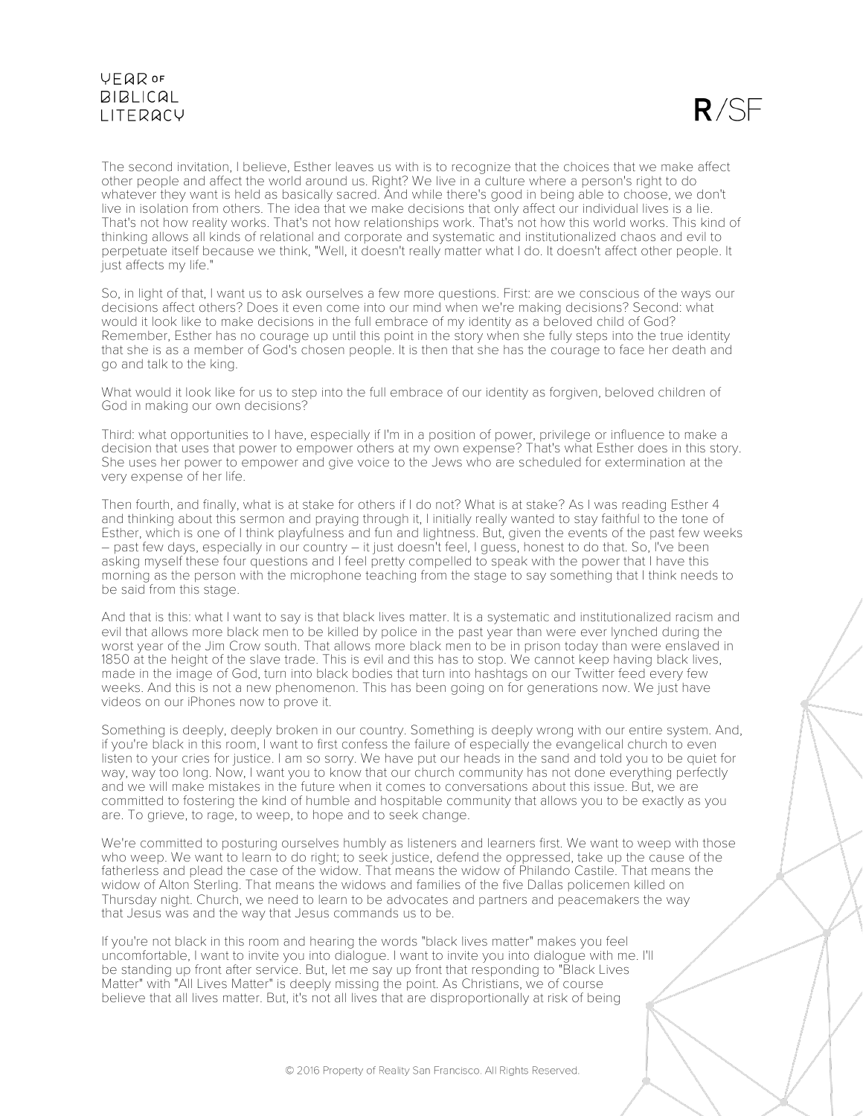

The second invitation, I believe, Esther leaves us with is to recognize that the choices that we make affect other people and affect the world around us. Right? We live in a culture where a person's right to do whatever they want is held as basically sacred. And while there's good in being able to choose, we don't live in isolation from others. The idea that we make decisions that only affect our individual lives is a lie. That's not how reality works. That's not how relationships work. That's not how this world works. This kind of thinking allows all kinds of relational and corporate and systematic and institutionalized chaos and evil to perpetuate itself because we think, "Well, it doesn't really matter what I do. It doesn't affect other people. It just affects my life."

So, in light of that, I want us to ask ourselves a few more questions. First: are we conscious of the ways our decisions affect others? Does it even come into our mind when we're making decisions? Second: what would it look like to make decisions in the full embrace of my identity as a beloved child of God? Remember, Esther has no courage up until this point in the story when she fully steps into the true identity that she is as a member of God's chosen people. It is then that she has the courage to face her death and go and talk to the king.

What would it look like for us to step into the full embrace of our identity as forgiven, beloved children of God in making our own decisions?

Third: what opportunities to I have, especially if I'm in a position of power, privilege or influence to make a decision that uses that power to empower others at my own expense? That's what Esther does in this story. She uses her power to empower and give voice to the Jews who are scheduled for extermination at the very expense of her life.

Then fourth, and finally, what is at stake for others if I do not? What is at stake? As I was reading Esther 4 and thinking about this sermon and praying through it, I initially really wanted to stay faithful to the tone of Esther, which is one of I think playfulness and fun and lightness. But, given the events of the past few weeks – past few days, especially in our country – it just doesn't feel, I guess, honest to do that. So, I've been asking myself these four questions and I feel pretty compelled to speak with the power that I have this morning as the person with the microphone teaching from the stage to say something that I think needs to be said from this stage.

And that is this: what I want to say is that black lives matter. It is a systematic and institutionalized racism and evil that allows more black men to be killed by police in the past year than were ever lynched during the worst year of the Jim Crow south. That allows more black men to be in prison today than were enslaved in 1850 at the height of the slave trade. This is evil and this has to stop. We cannot keep having black lives, made in the image of God, turn into black bodies that turn into hashtags on our Twitter feed every few weeks. And this is not a new phenomenon. This has been going on for generations now. We just have videos on our iPhones now to prove it.

Something is deeply, deeply broken in our country. Something is deeply wrong with our entire system. And, if you're black in this room, I want to first confess the failure of especially the evangelical church to even listen to your cries for justice. I am so sorry. We have put our heads in the sand and told you to be quiet for way, way too long. Now, I want you to know that our church community has not done everything perfectly and we will make mistakes in the future when it comes to conversations about this issue. But, we are committed to fostering the kind of humble and hospitable community that allows you to be exactly as you are. To grieve, to rage, to weep, to hope and to seek change.

We're committed to posturing ourselves humbly as listeners and learners first. We want to weep with those who weep. We want to learn to do right; to seek justice, defend the oppressed, take up the cause of the fatherless and plead the case of the widow. That means the widow of Philando Castile. That means the widow of Alton Sterling. That means the widows and families of the five Dallas policemen killed on Thursday night. Church, we need to learn to be advocates and partners and peacemakers the way that Jesus was and the way that Jesus commands us to be.

If you're not black in this room and hearing the words "black lives matter" makes you feel uncomfortable, I want to invite you into dialogue. I want to invite you into dialogue with me. I'll be standing up front after service. But, let me say up front that responding to "Black Lives Matter" with "All Lives Matter" is deeply missing the point. As Christians, we of course believe that all lives matter. But, it's not all lives that are disproportionally at risk of being